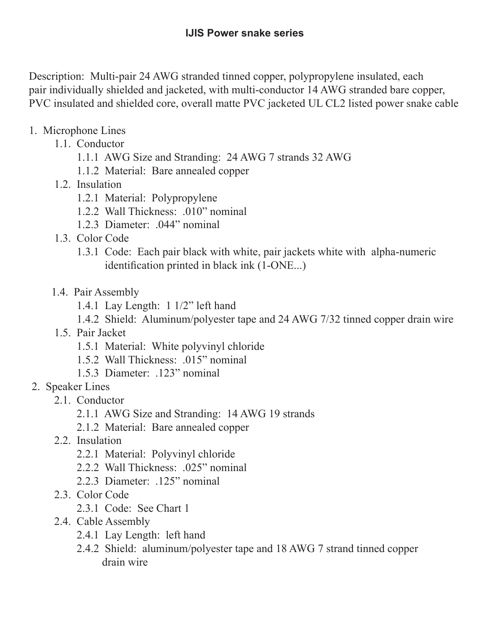Description: Multi-pair 24 AWG stranded tinned copper, polypropylene insulated, each pair individually shielded and jacketed, with multi-conductor 14 AWG stranded bare copper, PVC insulated and shielded core, overall matte PVC jacketed UL CL2 listed power snake cable

- 1. Microphone Lines
	- 1.1. Conductor
		- 1.1.1 AWG Size and Stranding: 24 AWG 7 strands 32 AWG
		- 1.1.2 Material: Bare annealed copper
	- 1.2. Insulation
		- 1.2.1 Material: Polypropylene
		- 1.2.2 Wall Thickness: .010" nominal
		- 1.2.3 Diameter: .044" nominal
	- 1.3. Color Code
		- 1.3.1 Code: Each pair black with white, pair jackets white with alpha-numeric identification printed in black ink (1-ONE...)
	- 1.4. Pair Assembly
		- 1.4.1 Lay Length: 1 1/2" left hand
		- 1.4.2 Shield: Aluminum/polyester tape and 24 AWG 7/32 tinned copper drain wire
	- 1.5. Pair Jacket
		- 1.5.1 Material: White polyvinyl chloride
		- 1.5.2 Wall Thickness: .015" nominal
		- 1.5.3 Diameter: .123" nominal
- 2. Speaker Lines
	- 2.1. Conductor
		- 2.1.1 AWG Size and Stranding: 14 AWG 19 strands
		- 2.1.2 Material: Bare annealed copper
	- 2.2. Insulation
		- 2.2.1 Material: Polyvinyl chloride
		- 2.2.2 Wall Thickness: .025" nominal
		- 2.2.3 Diameter: .125" nominal
	- 2.3. Color Code
		- 2.3.1 Code: See Chart 1
	- 2.4. Cable Assembly
		- 2.4.1 Lay Length: left hand
		- 2.4.2 Shield: aluminum/polyester tape and 18 AWG 7 strand tinned copper drain wire